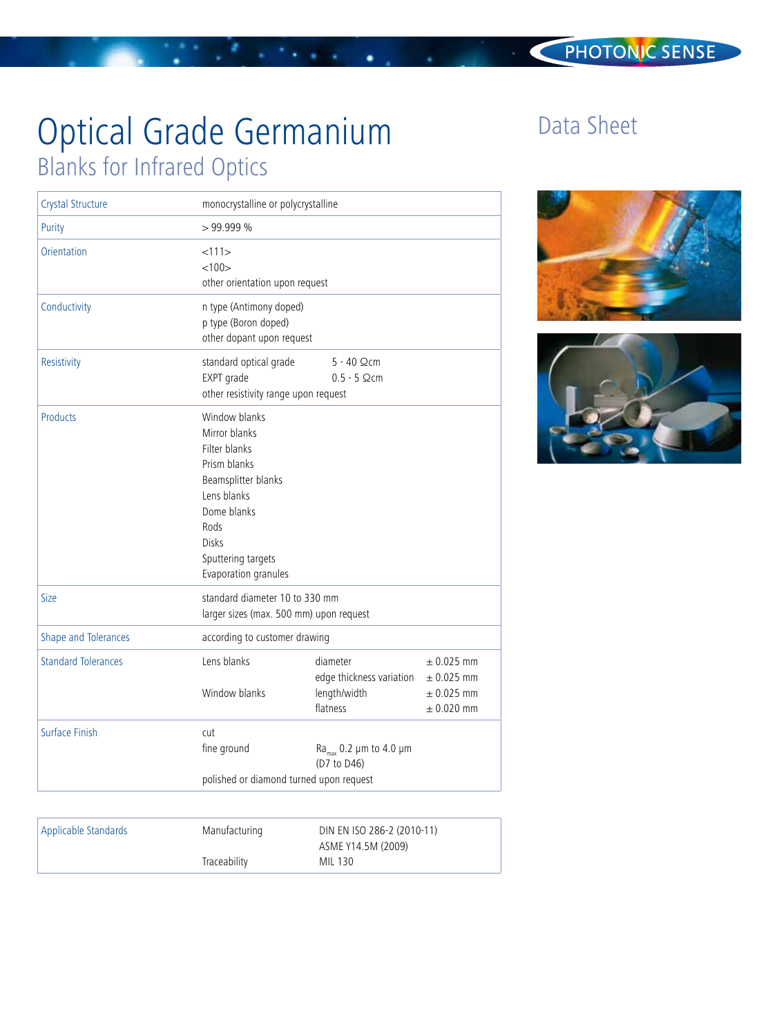# Optical Grade Germanium Blanks for Infrared Optics

| Crystal Structure          | monocrystalline or polycrystalline                                                                                                                                                         |                                                                  |                                                                      |
|----------------------------|--------------------------------------------------------------------------------------------------------------------------------------------------------------------------------------------|------------------------------------------------------------------|----------------------------------------------------------------------|
| Purity                     | >99.999%                                                                                                                                                                                   |                                                                  |                                                                      |
| Orientation                | <111><br>< 100<br>other orientation upon request                                                                                                                                           |                                                                  |                                                                      |
| Conductivity               | n type (Antimony doped)<br>p type (Boron doped)<br>other dopant upon request                                                                                                               |                                                                  |                                                                      |
| Resistivity                | standard optical grade<br>EXPT grade<br>other resistivity range upon request                                                                                                               | $5 - 40$ Qcm<br>$0.5 - 5$ $\Omega$ cm                            |                                                                      |
| <b>Products</b>            | Window blanks<br>Mirror blanks<br>Filter blanks<br>Prism blanks<br>Beamsplitter blanks<br>Lens blanks<br>Dome blanks<br>Rods<br><b>Disks</b><br>Sputtering targets<br>Evaporation granules |                                                                  |                                                                      |
| Size                       | standard diameter 10 to 330 mm<br>larger sizes (max. 500 mm) upon request                                                                                                                  |                                                                  |                                                                      |
| Shape and Tolerances       | according to customer drawing                                                                                                                                                              |                                                                  |                                                                      |
| <b>Standard Tolerances</b> | Lens blanks<br>Window blanks                                                                                                                                                               | diameter<br>edge thickness variation<br>length/width<br>flatness | $\pm$ 0.025 mm<br>$\pm$ 0.025 mm<br>$\pm$ 0.025 mm<br>$\pm$ 0.020 mm |
| <b>Surface Finish</b>      | cut<br>fine ground                                                                                                                                                                         | Ra <sub>max</sub> 0.2 $\mu$ m to 4.0 $\mu$ m<br>(D7 to D46)      |                                                                      |
|                            | polished or diamond turned upon request                                                                                                                                                    |                                                                  |                                                                      |

Applicable Standards Manufacturing

Traceability

DIN EN ISO 286-2 (2010-11) ASME Y14.5M (2009)

MIL 130

## Data Sheet